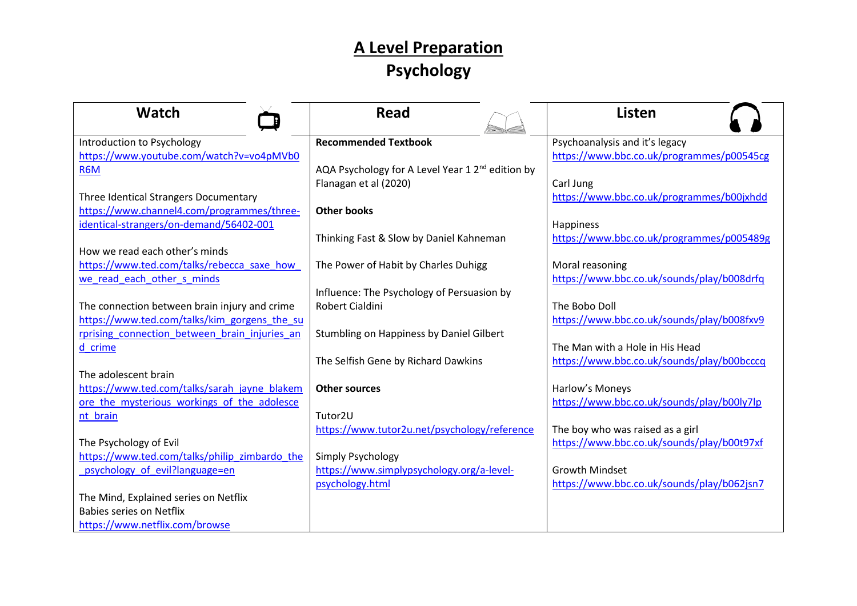## **A Level Preparation Psychology**

| Watch                                         | <b>Read</b>                                                  | <b>Listen</b>                              |
|-----------------------------------------------|--------------------------------------------------------------|--------------------------------------------|
| Introduction to Psychology                    | <b>Recommended Textbook</b>                                  | Psychoanalysis and it's legacy             |
| https://www.youtube.com/watch?v=vo4pMVb0      |                                                              | https://www.bbc.co.uk/programmes/p00545cg  |
| R6M                                           | AQA Psychology for A Level Year 1 2 <sup>nd</sup> edition by |                                            |
|                                               | Flanagan et al (2020)                                        | Carl Jung                                  |
| Three Identical Strangers Documentary         |                                                              | https://www.bbc.co.uk/programmes/b00jxhdd  |
| https://www.channel4.com/programmes/three-    | <b>Other books</b>                                           |                                            |
| identical-strangers/on-demand/56402-001       |                                                              | Happiness                                  |
|                                               | Thinking Fast & Slow by Daniel Kahneman                      | https://www.bbc.co.uk/programmes/p005489g  |
| How we read each other's minds                |                                                              |                                            |
| https://www.ted.com/talks/rebecca_saxe_how    | The Power of Habit by Charles Duhigg                         | Moral reasoning                            |
| we read each other s minds                    |                                                              | https://www.bbc.co.uk/sounds/play/b008drfq |
|                                               | Influence: The Psychology of Persuasion by                   |                                            |
| The connection between brain injury and crime | <b>Robert Cialdini</b>                                       | The Bobo Doll                              |
| https://www.ted.com/talks/kim_gorgens_the_su  |                                                              | https://www.bbc.co.uk/sounds/play/b008fxv9 |
| rprising connection between brain injuries an | Stumbling on Happiness by Daniel Gilbert                     |                                            |
| d crime                                       |                                                              | The Man with a Hole in His Head            |
|                                               | The Selfish Gene by Richard Dawkins                          | https://www.bbc.co.uk/sounds/play/b00bcccq |
| The adolescent brain                          |                                                              |                                            |
| https://www.ted.com/talks/sarah_jayne_blakem  | <b>Other sources</b>                                         | Harlow's Moneys                            |
| ore the mysterious workings of the adolesce   |                                                              | https://www.bbc.co.uk/sounds/play/b00ly7lp |
| nt brain                                      | Tutor2U                                                      |                                            |
|                                               | https://www.tutor2u.net/psychology/reference                 | The boy who was raised as a girl           |
| The Psychology of Evil                        |                                                              | https://www.bbc.co.uk/sounds/play/b00t97xf |
| https://www.ted.com/talks/philip_zimbardo_the | Simply Psychology                                            |                                            |
| psychology of evil?language=en                | https://www.simplypsychology.org/a-level-                    | <b>Growth Mindset</b>                      |
|                                               | psychology.html                                              | https://www.bbc.co.uk/sounds/play/b062jsn7 |
| The Mind, Explained series on Netflix         |                                                              |                                            |
| <b>Babies series on Netflix</b>               |                                                              |                                            |
| https://www.netflix.com/browse                |                                                              |                                            |